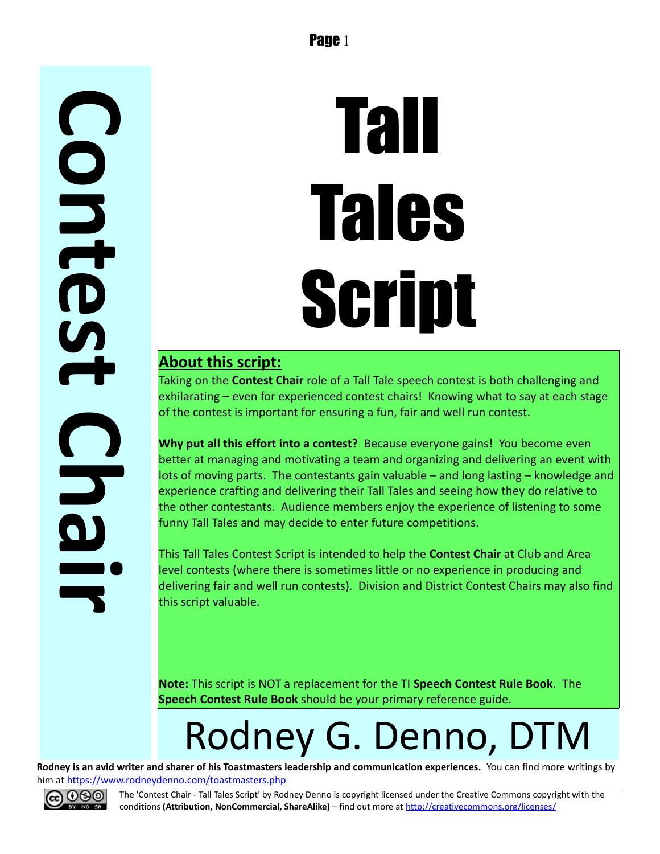## **C o n t e s t C h a i**

# Tall Tales Script

#### **About this script:**

Taking on the **Contest Chair** role of a Tall Tale speech contest is both challenging and exhilarating – even for experienced contest chairs! Knowing what to say at each stage of the contest is important for ensuring a fun, fair and well run contest.

**Why put all this effort into a contest?** Because everyone gains! You become even better at managing and motivating a team and organizing and delivering an event with lots of moving parts. The contestants gain valuable – and long lasting – knowledge and experience crafting and delivering their Tall Tales and seeing how they do relative to the other contestants. Audience members enjoy the experience of listening to some funny Tall Tales and may decide to enter future competitions.

This Tall Tales Contest Script is intended to help the **Contest Chair** at Club and Area level contests (where there is sometimes little or no experience in producing and delivering fair and well run contests). Division and District Contest Chairs may also find this script valuable.

**Note:** This script is NOT a replacement for the TI **Speech Contest Rule Book**. The **Speech Contest Rule Book** should be your primary reference guide.

## Rodney G. Denno, DTM

**Rodney is an avid writer and sharer of his Toastmasters leadership and communication experiences.** You can find more writings by him at<https://www.rodneydenno.com/toastmasters.php>



**r**

The 'Contest Chair - Tall Tales Script' by Rodney Denno is copyright licensed under the Creative Commons copyright with the conditions **(Attribution, NonCommercial, ShareAlike)** – find out more at<http://creativecommons.org/licenses/>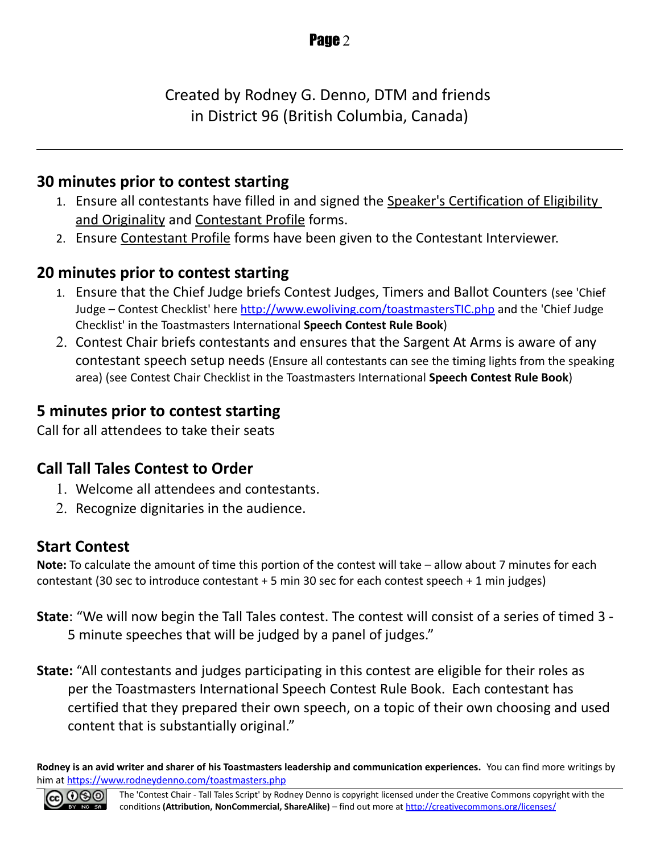Created by Rodney G. Denno, DTM and friends in District 96 (British Columbia, Canada)

#### **30 minutes prior to contest starting**

- 1. Ensure all contestants have filled in and signed the Speaker's Certification of Eligibility and Originality and Contestant Profile forms.
- 2. Ensure Contestant Profile forms have been given to the Contestant Interviewer.

#### **20 minutes prior to contest starting**

- 1. Ensure that the Chief Judge briefs Contest Judges, Timers and Ballot Counters (see 'Chief Judge – Contest Checklist' here<http://www.ewoliving.com/toastmastersTIC.php>and the 'Chief Judge Checklist' in the Toastmasters International **Speech Contest Rule Book**)
- 2. Contest Chair briefs contestants and ensures that the Sargent At Arms is aware of any contestant speech setup needs (Ensure all contestants can see the timing lights from the speaking area) (see Contest Chair Checklist in the Toastmasters International **Speech Contest Rule Book**)

#### **5 minutes prior to contest starting**

Call for all attendees to take their seats

#### **Call Tall Tales Contest to Order**

- 1. Welcome all attendees and contestants.
- 2. Recognize dignitaries in the audience.

#### **Start Contest**

**Note:** To calculate the amount of time this portion of the contest will take – allow about 7 minutes for each contestant (30 sec to introduce contestant + 5 min 30 sec for each contest speech + 1 min judges)

- **State**: "We will now begin the Tall Tales contest. The contest will consist of a series of timed 3 5 minute speeches that will be judged by a panel of judges."
- **State:** "All contestants and judges participating in this contest are eligible for their roles as per the Toastmasters International Speech Contest Rule Book. Each contestant has certified that they prepared their own speech, on a topic of their own choosing and used content that is substantially original."

**Rodney is an avid writer and sharer of his Toastmasters leadership and communication experiences.** You can find more writings by him at<https://www.rodneydenno.com/toastmasters.php>

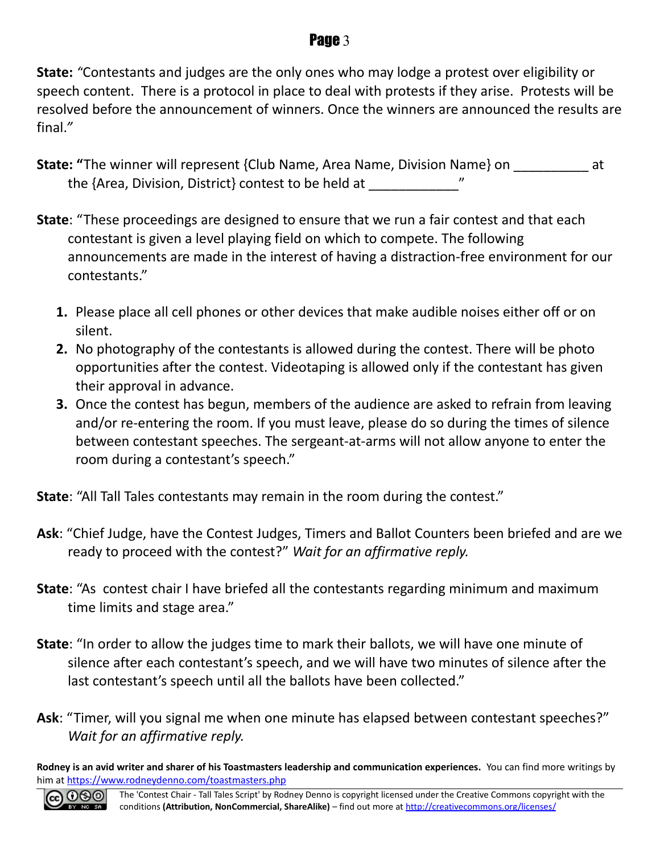#### Page 3

**State:** *"*Contestants and judges are the only ones who may lodge a protest over eligibility or speech content. There is a protocol in place to deal with protests if they arise. Protests will be resolved before the announcement of winners. Once the winners are announced the results are final.*"*

- **State: "**The winner will represent {Club Name, Area Name, Division Name} on \_\_\_\_\_\_\_\_\_\_ at the {Area, Division, District} contest to be held at
- **State**: "These proceedings are designed to ensure that we run a fair contest and that each contestant is given a level playing field on which to compete. The following announcements are made in the interest of having a distraction-free environment for our contestants."
	- **1.** Please place all cell phones or other devices that make audible noises either off or on silent.
	- **2.** No photography of the contestants is allowed during the contest. There will be photo opportunities after the contest. Videotaping is allowed only if the contestant has given their approval in advance.
	- **3.** Once the contest has begun, members of the audience are asked to refrain from leaving and/or re-entering the room. If you must leave, please do so during the times of silence between contestant speeches. The sergeant-at-arms will not allow anyone to enter the room during a contestant's speech."

**State**: "All Tall Tales contestants may remain in the room during the contest."

- **Ask**: "Chief Judge, have the Contest Judges, Timers and Ballot Counters been briefed and are we ready to proceed with the contest?" *Wait for an affirmative reply.*
- **State**: "As contest chair I have briefed all the contestants regarding minimum and maximum time limits and stage area."
- **State**: "In order to allow the judges time to mark their ballots, we will have one minute of silence after each contestant's speech, and we will have two minutes of silence after the last contestant's speech until all the ballots have been collected."
- **Ask**: "Timer, will you signal me when one minute has elapsed between contestant speeches?" *Wait for an affirmative reply.*

**Rodney is an avid writer and sharer of his Toastmasters leadership and communication experiences.** You can find more writings by him at<https://www.rodneydenno.com/toastmasters.php>

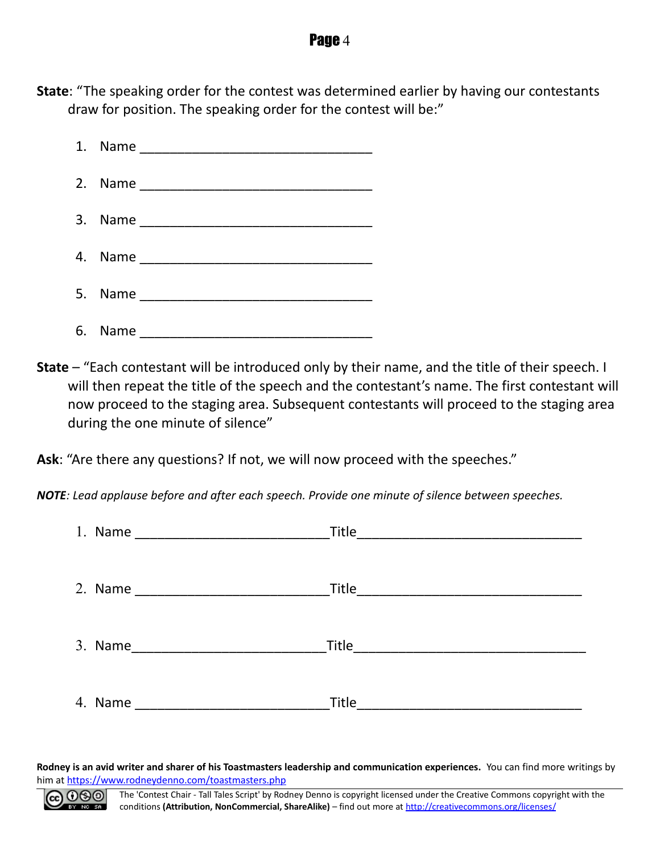#### **Page 4**

**State**: "The speaking order for the contest was determined earlier by having our contestants draw for position. The speaking order for the contest will be:"



**State** – "Each contestant will be introduced only by their name, and the title of their speech. I will then repeat the title of the speech and the contestant's name. The first contestant will now proceed to the staging area. Subsequent contestants will proceed to the staging area during the one minute of silence"

**Ask**: "Are there any questions? If not, we will now proceed with the speeches."

*NOTE: Lead applause before and after each speech. Provide one minute of silence between speeches.*

| 1. Name | Title |
|---------|-------|
|         |       |
|         | Title |
|         |       |
| 3. Name |       |
|         |       |
| 4. Name |       |
|         |       |

**Rodney is an avid writer and sharer of his Toastmasters leadership and communication experiences.** You can find more writings by him at<https://www.rodneydenno.com/toastmasters.php>

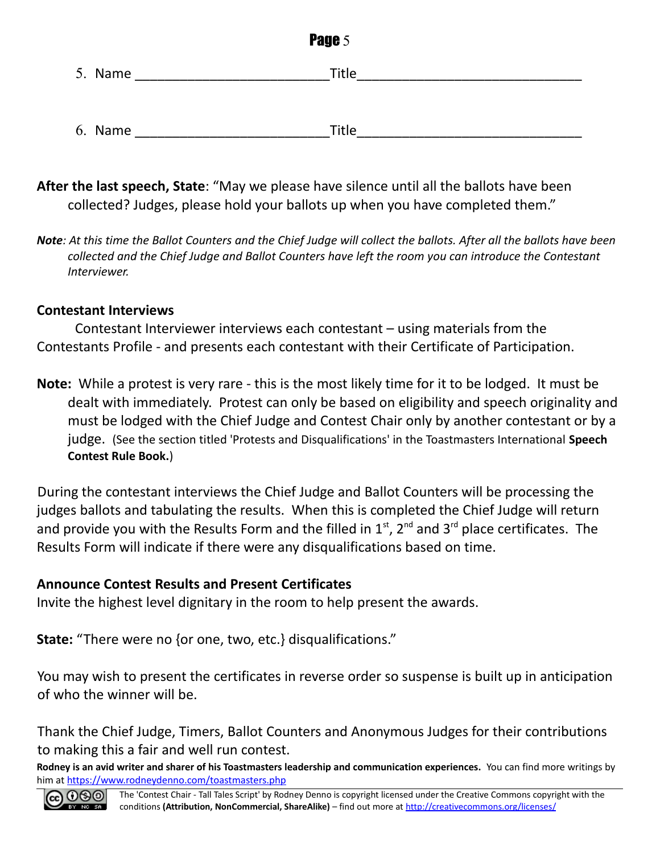| Page 5  |              |  |  |
|---------|--------------|--|--|
| 5. Name | Title        |  |  |
|         |              |  |  |
| 6. Name | <b>Title</b> |  |  |

- **After the last speech, State**: "May we please have silence until all the ballots have been collected? Judges, please hold your ballots up when you have completed them."
- *Note: At this time the Ballot Counters and the Chief Judge will collect the ballots. After all the ballots have been collected and the Chief Judge and Ballot Counters have left the room you can introduce the Contestant Interviewer.*

#### **Contestant Interviews**

Contestant Interviewer interviews each contestant – using materials from the Contestants Profile - and presents each contestant with their Certificate of Participation.

**Note:** While a protest is very rare - this is the most likely time for it to be lodged. It must be dealt with immediately. Protest can only be based on eligibility and speech originality and must be lodged with the Chief Judge and Contest Chair only by another contestant or by a judge. (See the section titled 'Protests and Disqualifications' in the Toastmasters International **Speech Contest Rule Book.**)

During the contestant interviews the Chief Judge and Ballot Counters will be processing the judges ballots and tabulating the results. When this is completed the Chief Judge will return and provide you with the Results Form and the filled in  $1<sup>st</sup>$ , 2<sup>nd</sup> and 3<sup>rd</sup> place certificates. The Results Form will indicate if there were any disqualifications based on time.

#### **Announce Contest Results and Present Certificates**

Invite the highest level dignitary in the room to help present the awards.

**State:** "There were no {or one, two, etc.} disqualifications."

You may wish to present the certificates in reverse order so suspense is built up in anticipation of who the winner will be.

Thank the Chief Judge, Timers, Ballot Counters and Anonymous Judges for their contributions to making this a fair and well run contest.

**Rodney is an avid writer and sharer of his Toastmasters leadership and communication experiences.** You can find more writings by him at<https://www.rodneydenno.com/toastmasters.php>

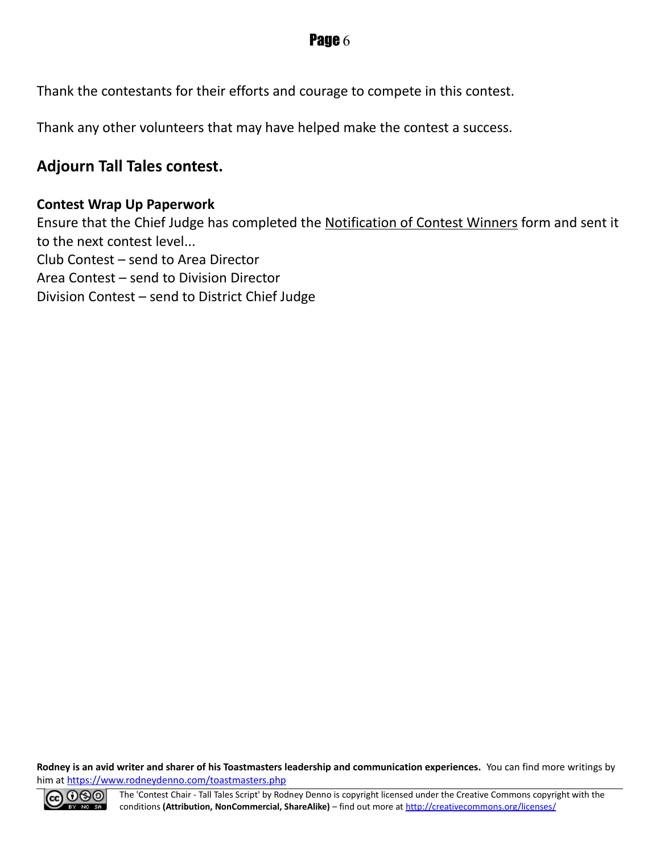Thank the contestants for their efforts and courage to compete in this contest.

Thank any other volunteers that may have helped make the contest a success.

#### **Adjourn Tall Tales contest.**

#### **Contest Wrap Up Paperwork**

Ensure that the Chief Judge has completed the Notification of Contest Winners form and sent it to the next contest level... Club Contest – send to Area Director Area Contest – send to Division Director Division Contest – send to District Chief Judge

**Rodney is an avid writer and sharer of his Toastmasters leadership and communication experiences.** You can find more writings by him at<https://www.rodneydenno.com/toastmasters.php>